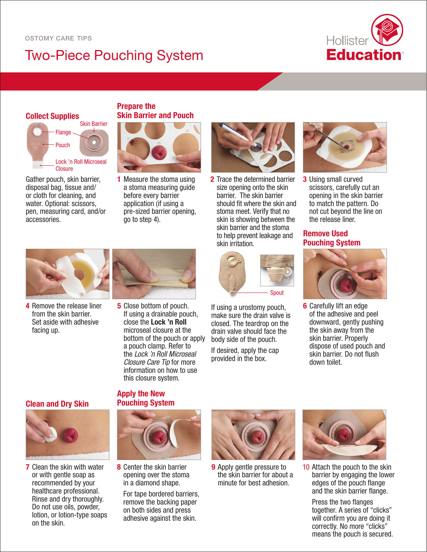# Two-Piece Pouching System



### **Collect Supplies**



Gather pouch, skin barrier, disposal bag, tissue and/ or cloth for cleaning, and water. Optional: scissors, pen, measuring card, and/or accessories.

#### **Prepare the Skin Barrier and Pouch**



1 Measure the stoma using a stoma measuring guide before every barrier application (if using a pre-sized barrier opening, go to step 4).



2 Trace the determined barrier size opening onto the skin barrier. The skin barrier should fit where the skin and stoma meet. Verify that no skin is showing between the skin barrier and the stoma to help prevent leakage and skin irritation.



If using a urostomy pouch, make sure the drain valve is closed. The teardrop on the drain valve should face the body side of the pouch.

If desired, apply the cap provided in the box.



**3** Using small curved scissors, carefully cut an opening in the skin barrier to match the pattern. Do not cut beyond the line on the release liner.

### **Remove Used Pouching System**



6 Carefully lift an edge of the adhesive and peel downward, gently pushing the skin away from the skin barrier. Properly dispose of used pouch and skin barrier. Do not flush down toilet.



4 Remove the release liner from the skin barrier. Set aside with adhesive facing up.



**5** Close bottom of pouch. If using a drainable pouch, close the Lock 'n Roll microseal closure at the bottom of the pouch or apply a pouch clamp. Refer to the *Lock 'n Roll Microseal Closure Care Tip* for more information on how to use this closure system.

**Clean and Dry Skin**



**7** Clean the skin with water or with gentle soap as recommended by your healthcare professional. Rinse and dry thoroughly. Do not use oils, powder, lotion, or lotion-type soaps on the skin.

#### **Apply the New Pouching System**



8 Center the skin barrier opening over the stoma in a diamond shape.

For tape bordered barriers, remove the backing paper on both sides and press adhesive against the skin.



**9** Apply gentle pressure to the skin barrier for about a minute for best adhesion.



10 Attach the pouch to the skin barrier by engaging the lower edges of the pouch flange and the skin barrier flange.

Press the two flanges together. A series of "clicks" will confirm you are doing it correctly. No more "clicks" means the pouch is secured.